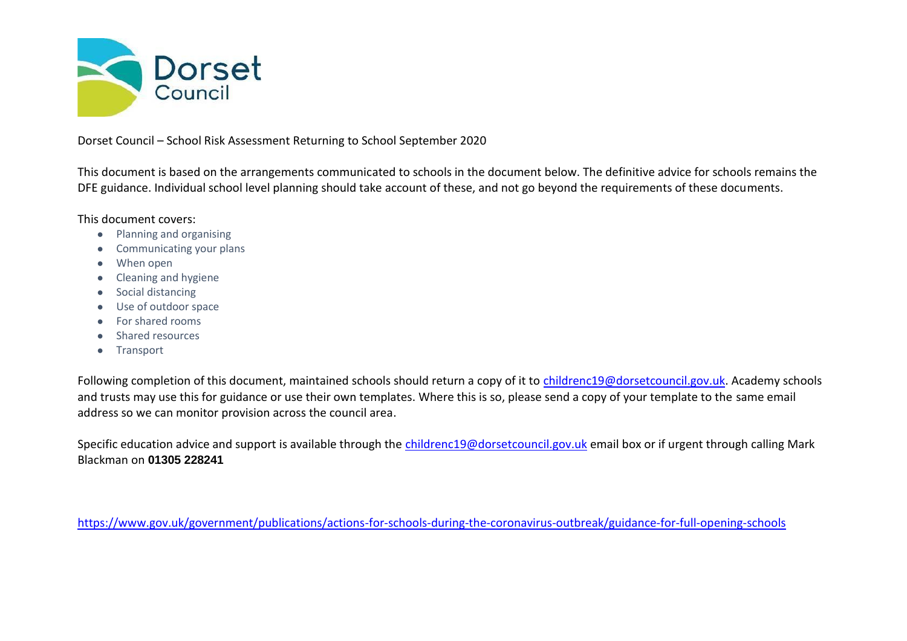

Dorset Council – School Risk Assessment Returning to School September 2020

This document is based on the arrangements communicated to schools in the document below. The definitive advice for schools remains the DFE guidance. Individual school level planning should take account of these, and not go beyond the requirements of these documents.

This document covers:

- Planning and organising
- Communicating your plans
- When open
- Cleaning and hygiene
- Social distancing
- Use of outdoor space
- For shared rooms
- Shared resources
- Transport

Following completion of this document, maintained schools should return a copy of it to [childrenc19@dorsetcouncil.gov.uk.](mailto:childrenc19@dorsetcouncil.gov.uk) Academy schools and trusts may use this for guidance or use their own templates. Where this is so, please send a copy of your template to the same email address so we can monitor provision across the council area.

Specific education advice and support is available through the [childrenc19@dorsetcouncil.gov.uk](mailto:childrenc19@dorsetcouncil.gov.uk) email box or if urgent through calling Mark Blackman on **01305 228241**

<https://www.gov.uk/government/publications/actions-for-schools-during-the-coronavirus-outbreak/guidance-for-full-opening-schools>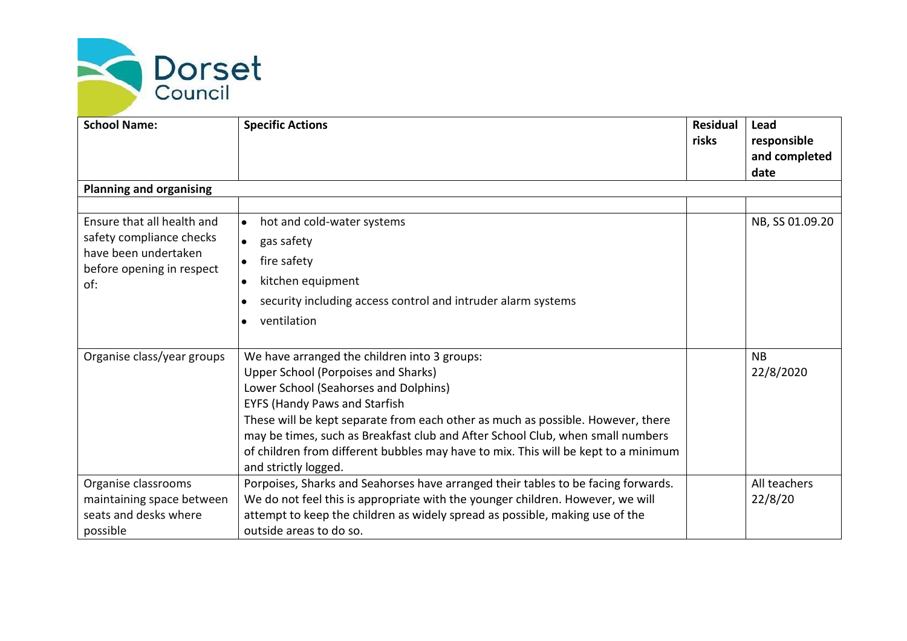

| <b>School Name:</b>                               | <b>Specific Actions</b>                                                            | <b>Residual</b><br>risks | Lead<br>responsible<br>and completed |
|---------------------------------------------------|------------------------------------------------------------------------------------|--------------------------|--------------------------------------|
|                                                   |                                                                                    |                          | date                                 |
| <b>Planning and organising</b>                    |                                                                                    |                          |                                      |
|                                                   |                                                                                    |                          |                                      |
| Ensure that all health and                        | hot and cold-water systems<br>$\bullet$                                            |                          | NB, SS 01.09.20                      |
| safety compliance checks                          | gas safety<br>$\bullet$                                                            |                          |                                      |
| have been undertaken<br>before opening in respect | fire safety<br>$\bullet$                                                           |                          |                                      |
| of:                                               | kitchen equipment<br>$\bullet$                                                     |                          |                                      |
|                                                   | security including access control and intruder alarm systems<br>$\bullet$          |                          |                                      |
|                                                   | ventilation                                                                        |                          |                                      |
|                                                   |                                                                                    |                          |                                      |
| Organise class/year groups                        | We have arranged the children into 3 groups:                                       |                          | <b>NB</b>                            |
|                                                   | <b>Upper School (Porpoises and Sharks)</b>                                         |                          | 22/8/2020                            |
|                                                   | Lower School (Seahorses and Dolphins)                                              |                          |                                      |
|                                                   | <b>EYFS (Handy Paws and Starfish</b>                                               |                          |                                      |
|                                                   | These will be kept separate from each other as much as possible. However, there    |                          |                                      |
|                                                   | may be times, such as Breakfast club and After School Club, when small numbers     |                          |                                      |
|                                                   | of children from different bubbles may have to mix. This will be kept to a minimum |                          |                                      |
|                                                   | and strictly logged.                                                               |                          |                                      |
| Organise classrooms                               | Porpoises, Sharks and Seahorses have arranged their tables to be facing forwards.  |                          | All teachers                         |
| maintaining space between                         | We do not feel this is appropriate with the younger children. However, we will     |                          | 22/8/20                              |
| seats and desks where                             | attempt to keep the children as widely spread as possible, making use of the       |                          |                                      |
| possible                                          | outside areas to do so.                                                            |                          |                                      |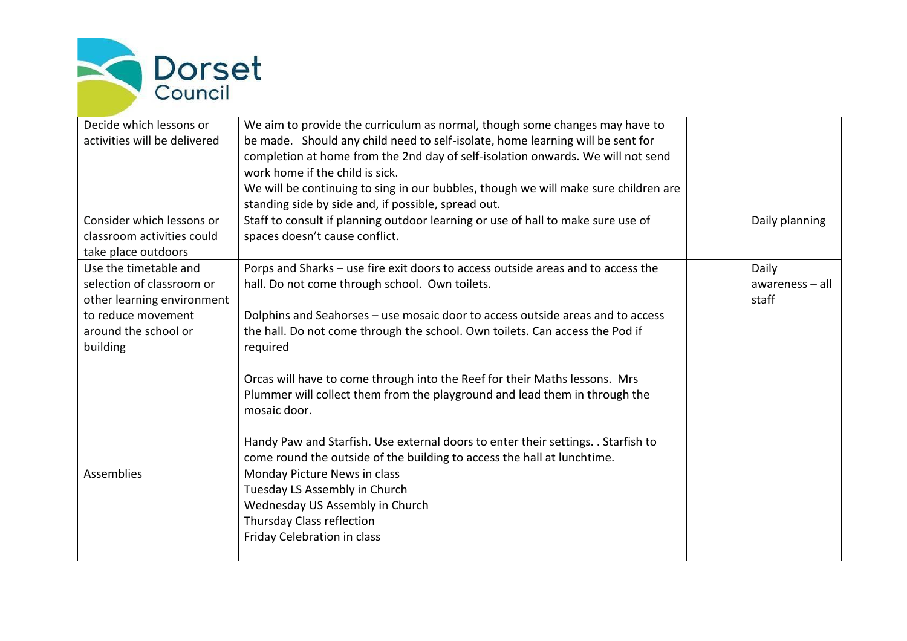

| Decide which lessons or<br>activities will be delivered                                                                                    | We aim to provide the curriculum as normal, though some changes may have to<br>be made. Should any child need to self-isolate, home learning will be sent for<br>completion at home from the 2nd day of self-isolation onwards. We will not send<br>work home if the child is sick.<br>We will be continuing to sing in our bubbles, though we will make sure children are |                                   |
|--------------------------------------------------------------------------------------------------------------------------------------------|----------------------------------------------------------------------------------------------------------------------------------------------------------------------------------------------------------------------------------------------------------------------------------------------------------------------------------------------------------------------------|-----------------------------------|
|                                                                                                                                            | standing side by side and, if possible, spread out.                                                                                                                                                                                                                                                                                                                        |                                   |
| Consider which lessons or<br>classroom activities could<br>take place outdoors                                                             | Staff to consult if planning outdoor learning or use of hall to make sure use of<br>spaces doesn't cause conflict.                                                                                                                                                                                                                                                         | Daily planning                    |
| Use the timetable and<br>selection of classroom or<br>other learning environment<br>to reduce movement<br>around the school or<br>building | Porps and Sharks - use fire exit doors to access outside areas and to access the<br>hall. Do not come through school. Own toilets.<br>Dolphins and Seahorses - use mosaic door to access outside areas and to access<br>the hall. Do not come through the school. Own toilets. Can access the Pod if<br>required                                                           | Daily<br>awareness - all<br>staff |
|                                                                                                                                            | Orcas will have to come through into the Reef for their Maths lessons. Mrs<br>Plummer will collect them from the playground and lead them in through the<br>mosaic door.<br>Handy Paw and Starfish. Use external doors to enter their settings. . Starfish to<br>come round the outside of the building to access the hall at lunchtime.                                   |                                   |
| <b>Assemblies</b>                                                                                                                          | Monday Picture News in class<br>Tuesday LS Assembly in Church<br>Wednesday US Assembly in Church<br>Thursday Class reflection<br>Friday Celebration in class                                                                                                                                                                                                               |                                   |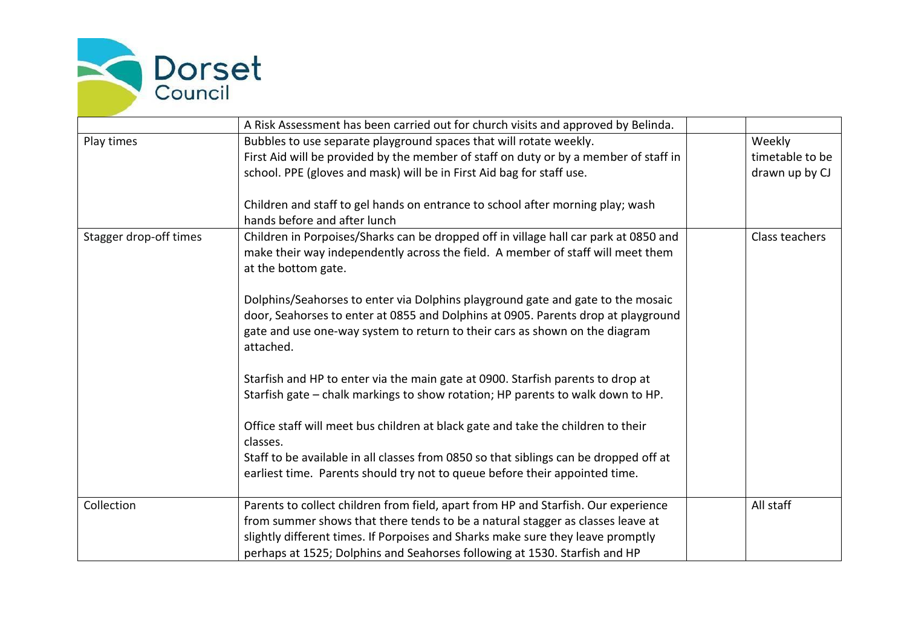

|                        | A Risk Assessment has been carried out for church visits and approved by Belinda.     |                 |
|------------------------|---------------------------------------------------------------------------------------|-----------------|
| Play times             | Bubbles to use separate playground spaces that will rotate weekly.                    | Weekly          |
|                        | First Aid will be provided by the member of staff on duty or by a member of staff in  | timetable to be |
|                        | school. PPE (gloves and mask) will be in First Aid bag for staff use.                 | drawn up by CJ  |
|                        |                                                                                       |                 |
|                        | Children and staff to gel hands on entrance to school after morning play; wash        |                 |
|                        | hands before and after lunch                                                          |                 |
| Stagger drop-off times | Children in Porpoises/Sharks can be dropped off in village hall car park at 0850 and  | Class teachers  |
|                        | make their way independently across the field. A member of staff will meet them       |                 |
|                        | at the bottom gate.                                                                   |                 |
|                        |                                                                                       |                 |
|                        | Dolphins/Seahorses to enter via Dolphins playground gate and gate to the mosaic       |                 |
|                        | door, Seahorses to enter at 0855 and Dolphins at 0905. Parents drop at playground     |                 |
|                        | gate and use one-way system to return to their cars as shown on the diagram           |                 |
|                        | attached.                                                                             |                 |
|                        | Starfish and HP to enter via the main gate at 0900. Starfish parents to drop at       |                 |
|                        | Starfish gate - chalk markings to show rotation; HP parents to walk down to HP.       |                 |
|                        |                                                                                       |                 |
|                        | Office staff will meet bus children at black gate and take the children to their      |                 |
|                        | classes.                                                                              |                 |
|                        | Staff to be available in all classes from 0850 so that siblings can be dropped off at |                 |
|                        | earliest time. Parents should try not to queue before their appointed time.           |                 |
|                        |                                                                                       |                 |
| Collection             | Parents to collect children from field, apart from HP and Starfish. Our experience    | All staff       |
|                        | from summer shows that there tends to be a natural stagger as classes leave at        |                 |
|                        | slightly different times. If Porpoises and Sharks make sure they leave promptly       |                 |
|                        | perhaps at 1525; Dolphins and Seahorses following at 1530. Starfish and HP            |                 |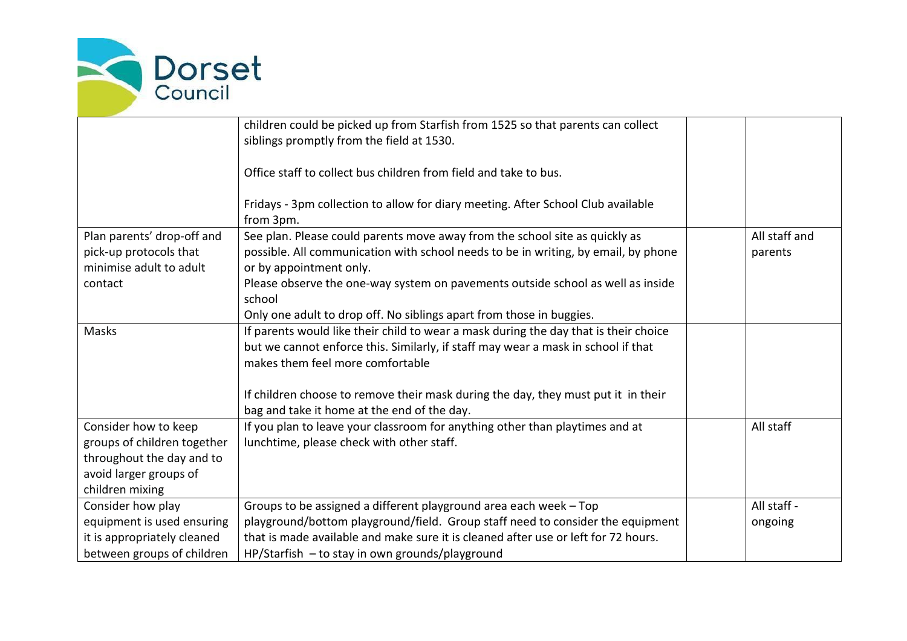

|                             | children could be picked up from Starfish from 1525 so that parents can collect      |               |
|-----------------------------|--------------------------------------------------------------------------------------|---------------|
|                             | siblings promptly from the field at 1530.                                            |               |
|                             | Office staff to collect bus children from field and take to bus.                     |               |
|                             | Fridays - 3pm collection to allow for diary meeting. After School Club available     |               |
|                             | from 3pm.                                                                            |               |
| Plan parents' drop-off and  | See plan. Please could parents move away from the school site as quickly as          | All staff and |
| pick-up protocols that      | possible. All communication with school needs to be in writing, by email, by phone   | parents       |
| minimise adult to adult     | or by appointment only.                                                              |               |
| contact                     | Please observe the one-way system on pavements outside school as well as inside      |               |
|                             | school                                                                               |               |
|                             | Only one adult to drop off. No siblings apart from those in buggies.                 |               |
| Masks                       | If parents would like their child to wear a mask during the day that is their choice |               |
|                             | but we cannot enforce this. Similarly, if staff may wear a mask in school if that    |               |
|                             | makes them feel more comfortable                                                     |               |
|                             | If children choose to remove their mask during the day, they must put it in their    |               |
|                             | bag and take it home at the end of the day.                                          |               |
| Consider how to keep        | If you plan to leave your classroom for anything other than playtimes and at         | All staff     |
| groups of children together | lunchtime, please check with other staff.                                            |               |
| throughout the day and to   |                                                                                      |               |
| avoid larger groups of      |                                                                                      |               |
| children mixing             |                                                                                      |               |
| Consider how play           | Groups to be assigned a different playground area each week - Top                    | All staff -   |
| equipment is used ensuring  | playground/bottom playground/field. Group staff need to consider the equipment       | ongoing       |
| it is appropriately cleaned | that is made available and make sure it is cleaned after use or left for 72 hours.   |               |
| between groups of children  | HP/Starfish - to stay in own grounds/playground                                      |               |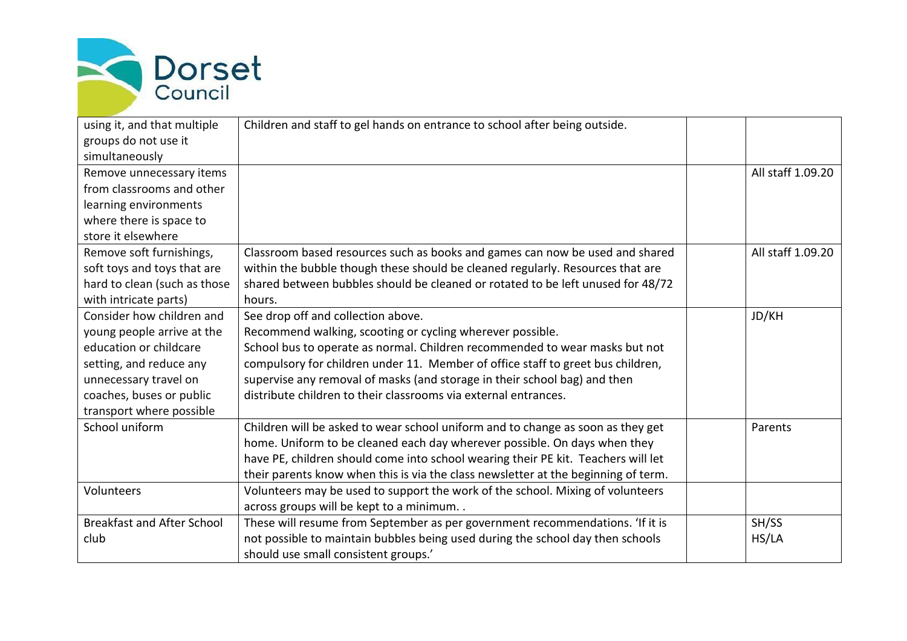

| using it, and that multiple       | Children and staff to gel hands on entrance to school after being outside.         |                   |
|-----------------------------------|------------------------------------------------------------------------------------|-------------------|
| groups do not use it              |                                                                                    |                   |
| simultaneously                    |                                                                                    |                   |
| Remove unnecessary items          |                                                                                    | All staff 1.09.20 |
| from classrooms and other         |                                                                                    |                   |
| learning environments             |                                                                                    |                   |
| where there is space to           |                                                                                    |                   |
| store it elsewhere                |                                                                                    |                   |
| Remove soft furnishings,          | Classroom based resources such as books and games can now be used and shared       | All staff 1.09.20 |
| soft toys and toys that are       | within the bubble though these should be cleaned regularly. Resources that are     |                   |
| hard to clean (such as those      | shared between bubbles should be cleaned or rotated to be left unused for 48/72    |                   |
| with intricate parts)             | hours.                                                                             |                   |
| Consider how children and         | See drop off and collection above.                                                 | JD/KH             |
| young people arrive at the        | Recommend walking, scooting or cycling wherever possible.                          |                   |
| education or childcare            | School bus to operate as normal. Children recommended to wear masks but not        |                   |
| setting, and reduce any           | compulsory for children under 11. Member of office staff to greet bus children,    |                   |
| unnecessary travel on             | supervise any removal of masks (and storage in their school bag) and then          |                   |
| coaches, buses or public          | distribute children to their classrooms via external entrances.                    |                   |
| transport where possible          |                                                                                    |                   |
| School uniform                    | Children will be asked to wear school uniform and to change as soon as they get    | Parents           |
|                                   | home. Uniform to be cleaned each day wherever possible. On days when they          |                   |
|                                   | have PE, children should come into school wearing their PE kit. Teachers will let  |                   |
|                                   | their parents know when this is via the class newsletter at the beginning of term. |                   |
| Volunteers                        | Volunteers may be used to support the work of the school. Mixing of volunteers     |                   |
|                                   | across groups will be kept to a minimum                                            |                   |
| <b>Breakfast and After School</b> | These will resume from September as per government recommendations. 'If it is      | SH/SS             |
| club                              | not possible to maintain bubbles being used during the school day then schools     | HS/LA             |
|                                   | should use small consistent groups.'                                               |                   |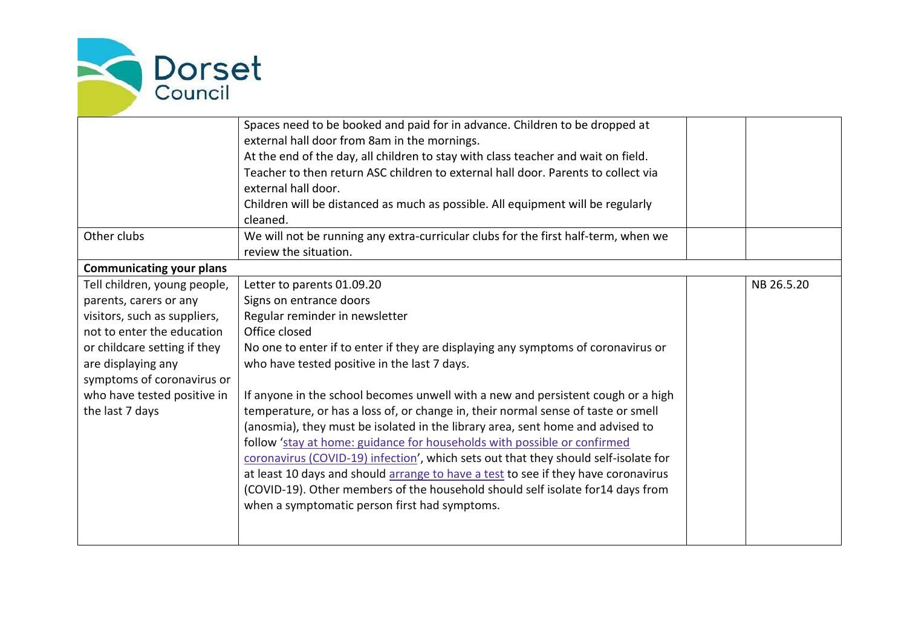

|                                 | Spaces need to be booked and paid for in advance. Children to be dropped at         |            |
|---------------------------------|-------------------------------------------------------------------------------------|------------|
|                                 | external hall door from 8am in the mornings.                                        |            |
|                                 | At the end of the day, all children to stay with class teacher and wait on field.   |            |
|                                 | Teacher to then return ASC children to external hall door. Parents to collect via   |            |
|                                 | external hall door.                                                                 |            |
|                                 | Children will be distanced as much as possible. All equipment will be regularly     |            |
|                                 | cleaned.                                                                            |            |
| Other clubs                     | We will not be running any extra-curricular clubs for the first half-term, when we  |            |
|                                 | review the situation.                                                               |            |
| <b>Communicating your plans</b> |                                                                                     |            |
| Tell children, young people,    | Letter to parents 01.09.20                                                          | NB 26.5.20 |
| parents, carers or any          | Signs on entrance doors                                                             |            |
| visitors, such as suppliers,    | Regular reminder in newsletter                                                      |            |
| not to enter the education      | Office closed                                                                       |            |
| or childcare setting if they    | No one to enter if to enter if they are displaying any symptoms of coronavirus or   |            |
| are displaying any              | who have tested positive in the last 7 days.                                        |            |
| symptoms of coronavirus or      |                                                                                     |            |
| who have tested positive in     | If anyone in the school becomes unwell with a new and persistent cough or a high    |            |
| the last 7 days                 | temperature, or has a loss of, or change in, their normal sense of taste or smell   |            |
|                                 | (anosmia), they must be isolated in the library area, sent home and advised to      |            |
|                                 | follow 'stay at home: guidance for households with possible or confirmed            |            |
|                                 | coronavirus (COVID-19) infection', which sets out that they should self-isolate for |            |
|                                 | at least 10 days and should arrange to have a test to see if they have coronavirus  |            |
|                                 | (COVID-19). Other members of the household should self isolate for14 days from      |            |
|                                 | when a symptomatic person first had symptoms.                                       |            |
|                                 |                                                                                     |            |
|                                 |                                                                                     |            |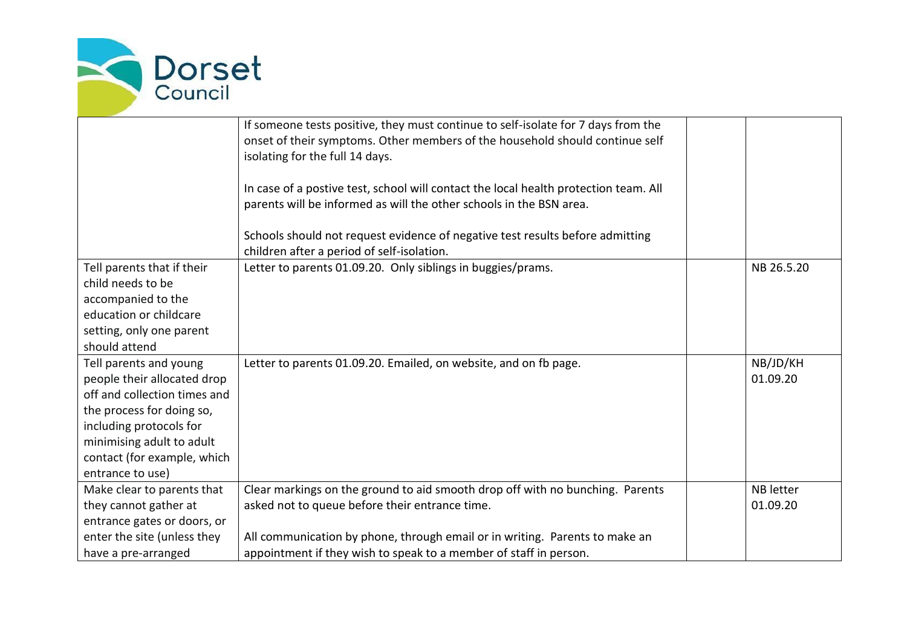

|                                                 | If someone tests positive, they must continue to self-isolate for 7 days from the<br>onset of their symptoms. Other members of the household should continue self<br>isolating for the full 14 days.<br>In case of a postive test, school will contact the local health protection team. All<br>parents will be informed as will the other schools in the BSN area.<br>Schools should not request evidence of negative test results before admitting |                  |
|-------------------------------------------------|------------------------------------------------------------------------------------------------------------------------------------------------------------------------------------------------------------------------------------------------------------------------------------------------------------------------------------------------------------------------------------------------------------------------------------------------------|------------------|
|                                                 | children after a period of self-isolation.                                                                                                                                                                                                                                                                                                                                                                                                           |                  |
| Tell parents that if their<br>child needs to be | Letter to parents 01.09.20. Only siblings in buggies/prams.                                                                                                                                                                                                                                                                                                                                                                                          | NB 26.5.20       |
| accompanied to the                              |                                                                                                                                                                                                                                                                                                                                                                                                                                                      |                  |
| education or childcare                          |                                                                                                                                                                                                                                                                                                                                                                                                                                                      |                  |
| setting, only one parent                        |                                                                                                                                                                                                                                                                                                                                                                                                                                                      |                  |
| should attend                                   |                                                                                                                                                                                                                                                                                                                                                                                                                                                      |                  |
| Tell parents and young                          | Letter to parents 01.09.20. Emailed, on website, and on fb page.                                                                                                                                                                                                                                                                                                                                                                                     | NB/JD/KH         |
| people their allocated drop                     |                                                                                                                                                                                                                                                                                                                                                                                                                                                      | 01.09.20         |
| off and collection times and                    |                                                                                                                                                                                                                                                                                                                                                                                                                                                      |                  |
| the process for doing so,                       |                                                                                                                                                                                                                                                                                                                                                                                                                                                      |                  |
| including protocols for                         |                                                                                                                                                                                                                                                                                                                                                                                                                                                      |                  |
| minimising adult to adult                       |                                                                                                                                                                                                                                                                                                                                                                                                                                                      |                  |
| contact (for example, which                     |                                                                                                                                                                                                                                                                                                                                                                                                                                                      |                  |
| entrance to use)                                |                                                                                                                                                                                                                                                                                                                                                                                                                                                      |                  |
| Make clear to parents that                      | Clear markings on the ground to aid smooth drop off with no bunching. Parents                                                                                                                                                                                                                                                                                                                                                                        | <b>NB</b> letter |
| they cannot gather at                           | asked not to queue before their entrance time.                                                                                                                                                                                                                                                                                                                                                                                                       | 01.09.20         |
| entrance gates or doors, or                     |                                                                                                                                                                                                                                                                                                                                                                                                                                                      |                  |
| enter the site (unless they                     | All communication by phone, through email or in writing. Parents to make an                                                                                                                                                                                                                                                                                                                                                                          |                  |
| have a pre-arranged                             | appointment if they wish to speak to a member of staff in person.                                                                                                                                                                                                                                                                                                                                                                                    |                  |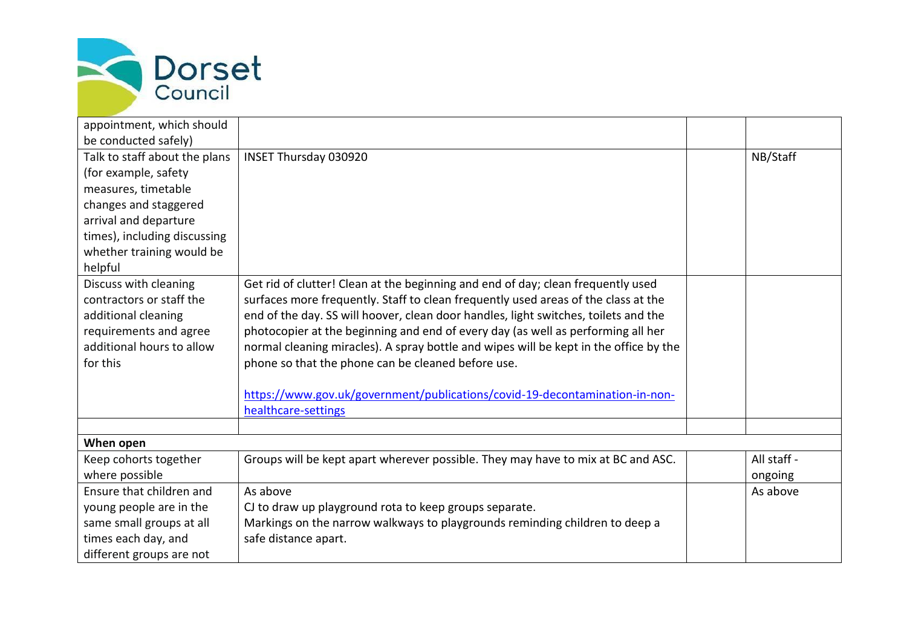

| appointment, which should     |                                                                                       |             |
|-------------------------------|---------------------------------------------------------------------------------------|-------------|
| be conducted safely)          |                                                                                       |             |
| Talk to staff about the plans | <b>INSET Thursday 030920</b>                                                          | NB/Staff    |
| (for example, safety          |                                                                                       |             |
| measures, timetable           |                                                                                       |             |
| changes and staggered         |                                                                                       |             |
| arrival and departure         |                                                                                       |             |
| times), including discussing  |                                                                                       |             |
| whether training would be     |                                                                                       |             |
| helpful                       |                                                                                       |             |
| Discuss with cleaning         | Get rid of clutter! Clean at the beginning and end of day; clean frequently used      |             |
| contractors or staff the      | surfaces more frequently. Staff to clean frequently used areas of the class at the    |             |
| additional cleaning           | end of the day. SS will hoover, clean door handles, light switches, toilets and the   |             |
| requirements and agree        | photocopier at the beginning and end of every day (as well as performing all her      |             |
| additional hours to allow     | normal cleaning miracles). A spray bottle and wipes will be kept in the office by the |             |
| for this                      | phone so that the phone can be cleaned before use.                                    |             |
|                               |                                                                                       |             |
|                               | https://www.gov.uk/government/publications/covid-19-decontamination-in-non-           |             |
|                               | healthcare-settings                                                                   |             |
|                               |                                                                                       |             |
| When open                     |                                                                                       |             |
| Keep cohorts together         | Groups will be kept apart wherever possible. They may have to mix at BC and ASC.      | All staff - |
| where possible                |                                                                                       | ongoing     |
| Ensure that children and      | As above                                                                              | As above    |
| young people are in the       | CJ to draw up playground rota to keep groups separate.                                |             |
| same small groups at all      | Markings on the narrow walkways to playgrounds reminding children to deep a           |             |
| times each day, and           | safe distance apart.                                                                  |             |
| different groups are not      |                                                                                       |             |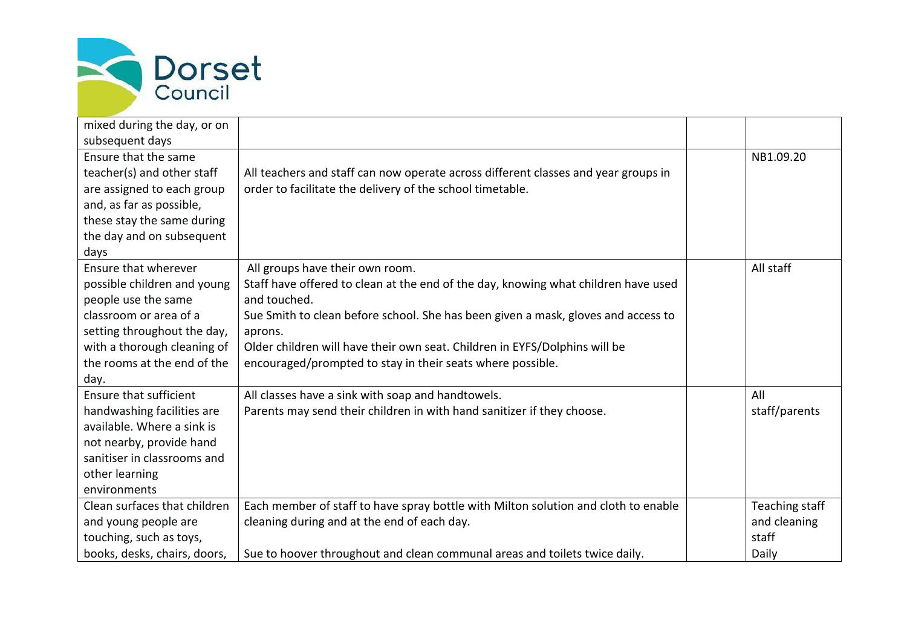

| mixed during the day, or on   |                                                                                    |                |
|-------------------------------|------------------------------------------------------------------------------------|----------------|
| subsequent days               |                                                                                    |                |
| Ensure that the same          |                                                                                    | NB1.09.20      |
| teacher(s) and other staff    | All teachers and staff can now operate across different classes and year groups in |                |
| are assigned to each group    | order to facilitate the delivery of the school timetable.                          |                |
| and, as far as possible,      |                                                                                    |                |
| these stay the same during    |                                                                                    |                |
| the day and on subsequent     |                                                                                    |                |
| days                          |                                                                                    |                |
| Ensure that wherever          | All groups have their own room.                                                    | All staff      |
| possible children and young   | Staff have offered to clean at the end of the day, knowing what children have used |                |
| people use the same           | and touched.                                                                       |                |
| classroom or area of a        | Sue Smith to clean before school. She has been given a mask, gloves and access to  |                |
| setting throughout the day,   | aprons.                                                                            |                |
| with a thorough cleaning of   | Older children will have their own seat. Children in EYFS/Dolphins will be         |                |
| the rooms at the end of the   | encouraged/prompted to stay in their seats where possible.                         |                |
| day.                          |                                                                                    |                |
| <b>Ensure that sufficient</b> | All classes have a sink with soap and handtowels.                                  | All            |
| handwashing facilities are    | Parents may send their children in with hand sanitizer if they choose.             | staff/parents  |
| available. Where a sink is    |                                                                                    |                |
| not nearby, provide hand      |                                                                                    |                |
| sanitiser in classrooms and   |                                                                                    |                |
| other learning                |                                                                                    |                |
| environments                  |                                                                                    |                |
| Clean surfaces that children  | Each member of staff to have spray bottle with Milton solution and cloth to enable | Teaching staff |
| and young people are          | cleaning during and at the end of each day.                                        | and cleaning   |
| touching, such as toys,       |                                                                                    | staff          |
| books, desks, chairs, doors,  | Sue to hoover throughout and clean communal areas and toilets twice daily.         | Daily          |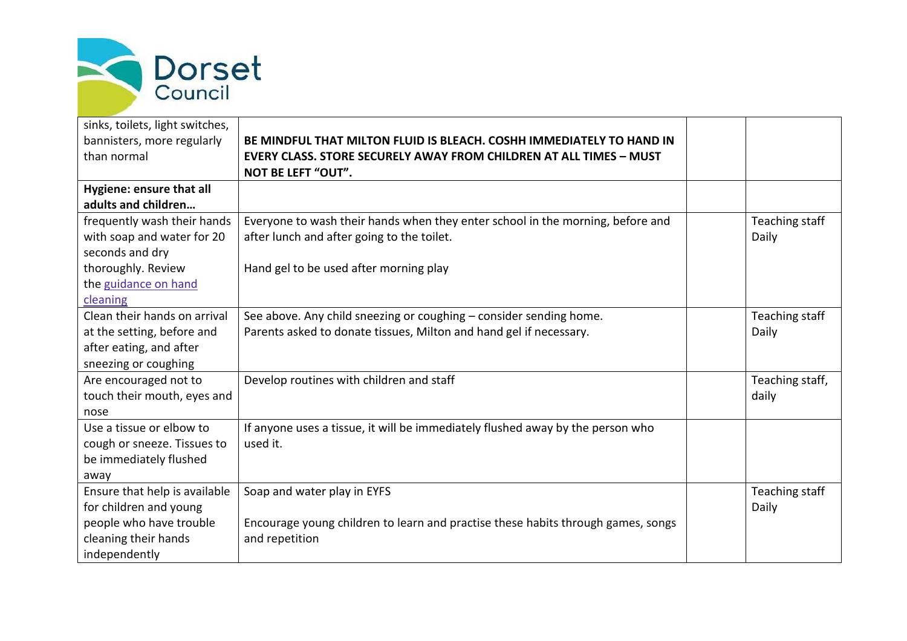

| sinks, toilets, light switches, |                                                                                  |                 |
|---------------------------------|----------------------------------------------------------------------------------|-----------------|
| bannisters, more regularly      | BE MINDFUL THAT MILTON FLUID IS BLEACH. COSHH IMMEDIATELY TO HAND IN             |                 |
| than normal                     | <b>EVERY CLASS. STORE SECURELY AWAY FROM CHILDREN AT ALL TIMES - MUST</b>        |                 |
|                                 | <b>NOT BE LEFT "OUT".</b>                                                        |                 |
| Hygiene: ensure that all        |                                                                                  |                 |
| adults and children             |                                                                                  |                 |
| frequently wash their hands     | Everyone to wash their hands when they enter school in the morning, before and   | Teaching staff  |
| with soap and water for 20      | after lunch and after going to the toilet.                                       | Daily           |
| seconds and dry                 |                                                                                  |                 |
| thoroughly. Review              | Hand gel to be used after morning play                                           |                 |
| the guidance on hand            |                                                                                  |                 |
| cleaning                        |                                                                                  |                 |
| Clean their hands on arrival    | See above. Any child sneezing or coughing - consider sending home.               | Teaching staff  |
| at the setting, before and      | Parents asked to donate tissues, Milton and hand gel if necessary.               | Daily           |
| after eating, and after         |                                                                                  |                 |
| sneezing or coughing            |                                                                                  |                 |
| Are encouraged not to           | Develop routines with children and staff                                         | Teaching staff, |
| touch their mouth, eyes and     |                                                                                  | daily           |
| nose                            |                                                                                  |                 |
| Use a tissue or elbow to        | If anyone uses a tissue, it will be immediately flushed away by the person who   |                 |
| cough or sneeze. Tissues to     | used it.                                                                         |                 |
| be immediately flushed          |                                                                                  |                 |
| away                            |                                                                                  |                 |
| Ensure that help is available   | Soap and water play in EYFS                                                      | Teaching staff  |
| for children and young          |                                                                                  | Daily           |
| people who have trouble         | Encourage young children to learn and practise these habits through games, songs |                 |
| cleaning their hands            | and repetition                                                                   |                 |
| independently                   |                                                                                  |                 |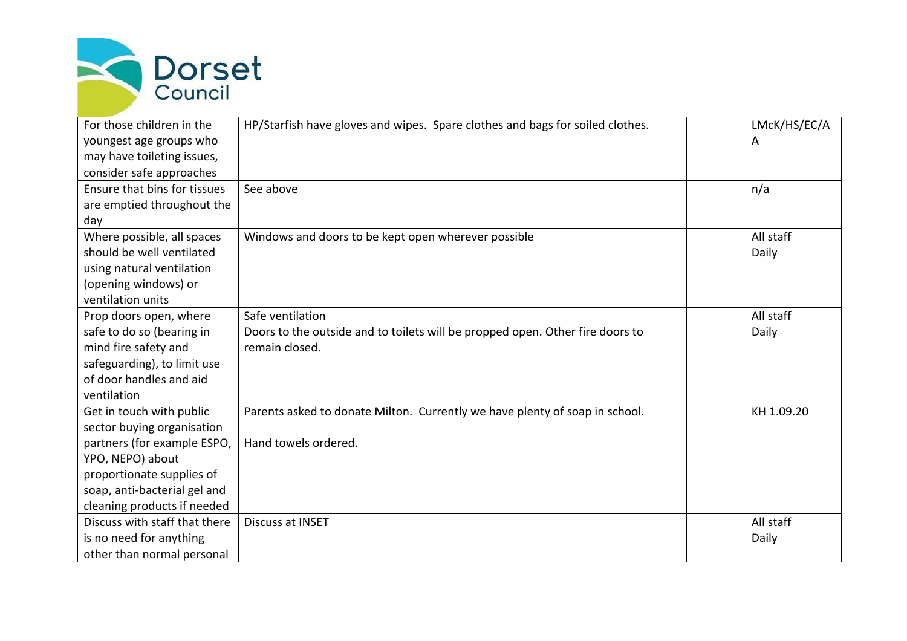

| For those children in the     | HP/Starfish have gloves and wipes. Spare clothes and bags for soiled clothes. | LMcK/HS/EC/A |
|-------------------------------|-------------------------------------------------------------------------------|--------------|
| youngest age groups who       |                                                                               | A            |
| may have toileting issues,    |                                                                               |              |
| consider safe approaches      |                                                                               |              |
| Ensure that bins for tissues  | See above                                                                     | n/a          |
| are emptied throughout the    |                                                                               |              |
| day                           |                                                                               |              |
| Where possible, all spaces    | Windows and doors to be kept open wherever possible                           | All staff    |
| should be well ventilated     |                                                                               | Daily        |
| using natural ventilation     |                                                                               |              |
| (opening windows) or          |                                                                               |              |
| ventilation units             |                                                                               |              |
| Prop doors open, where        | Safe ventilation                                                              | All staff    |
| safe to do so (bearing in     | Doors to the outside and to toilets will be propped open. Other fire doors to | Daily        |
| mind fire safety and          | remain closed.                                                                |              |
| safeguarding), to limit use   |                                                                               |              |
| of door handles and aid       |                                                                               |              |
| ventilation                   |                                                                               |              |
| Get in touch with public      | Parents asked to donate Milton. Currently we have plenty of soap in school.   | KH 1.09.20   |
| sector buying organisation    |                                                                               |              |
| partners (for example ESPO,   | Hand towels ordered.                                                          |              |
| YPO, NEPO) about              |                                                                               |              |
| proportionate supplies of     |                                                                               |              |
| soap, anti-bacterial gel and  |                                                                               |              |
| cleaning products if needed   |                                                                               |              |
| Discuss with staff that there | <b>Discuss at INSET</b>                                                       | All staff    |
| is no need for anything       |                                                                               | Daily        |
| other than normal personal    |                                                                               |              |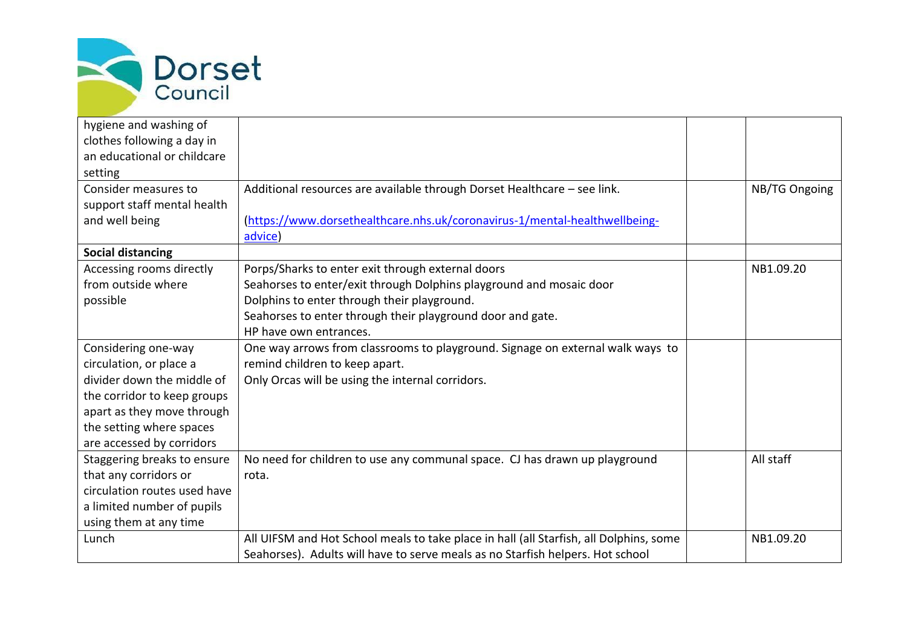

| hygiene and washing of       |                                                                                        |               |
|------------------------------|----------------------------------------------------------------------------------------|---------------|
| clothes following a day in   |                                                                                        |               |
| an educational or childcare  |                                                                                        |               |
| setting                      |                                                                                        |               |
| Consider measures to         | Additional resources are available through Dorset Healthcare - see link.               | NB/TG Ongoing |
| support staff mental health  |                                                                                        |               |
| and well being               | (https://www.dorsethealthcare.nhs.uk/coronavirus-1/mental-healthwellbeing-             |               |
|                              | advice)                                                                                |               |
| <b>Social distancing</b>     |                                                                                        |               |
| Accessing rooms directly     | Porps/Sharks to enter exit through external doors                                      | NB1.09.20     |
| from outside where           | Seahorses to enter/exit through Dolphins playground and mosaic door                    |               |
| possible                     | Dolphins to enter through their playground.                                            |               |
|                              | Seahorses to enter through their playground door and gate.                             |               |
|                              | HP have own entrances.                                                                 |               |
| Considering one-way          | One way arrows from classrooms to playground. Signage on external walk ways to         |               |
| circulation, or place a      | remind children to keep apart.                                                         |               |
| divider down the middle of   | Only Orcas will be using the internal corridors.                                       |               |
| the corridor to keep groups  |                                                                                        |               |
| apart as they move through   |                                                                                        |               |
| the setting where spaces     |                                                                                        |               |
| are accessed by corridors    |                                                                                        |               |
| Staggering breaks to ensure  | No need for children to use any communal space. CJ has drawn up playground             | All staff     |
| that any corridors or        | rota.                                                                                  |               |
| circulation routes used have |                                                                                        |               |
| a limited number of pupils   |                                                                                        |               |
| using them at any time       |                                                                                        |               |
| Lunch                        | All UIFSM and Hot School meals to take place in hall (all Starfish, all Dolphins, some | NB1.09.20     |
|                              | Seahorses). Adults will have to serve meals as no Starfish helpers. Hot school         |               |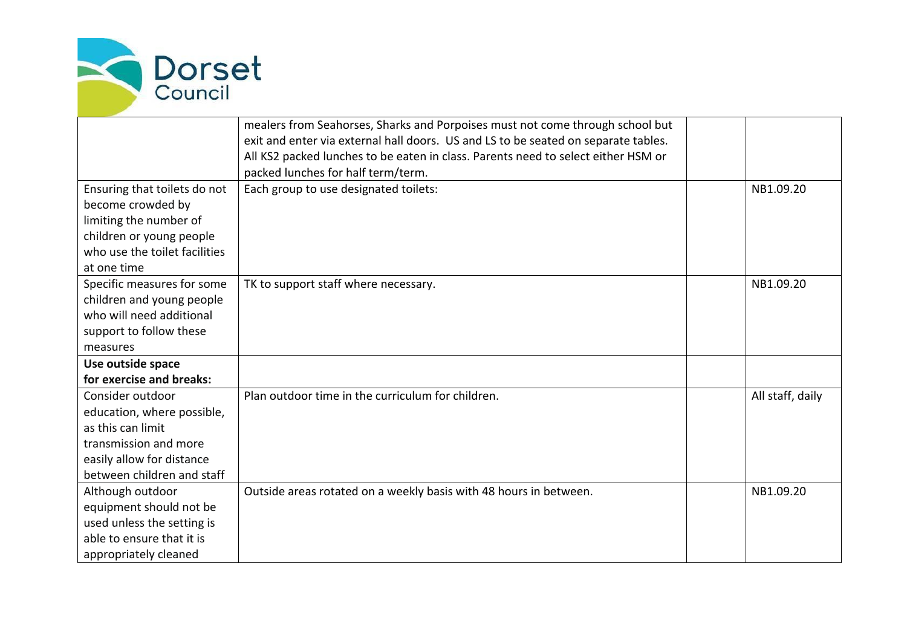

|                                                                                                                                                         | mealers from Seahorses, Sharks and Porpoises must not come through school but<br>exit and enter via external hall doors. US and LS to be seated on separate tables.<br>All KS2 packed lunches to be eaten in class. Parents need to select either HSM or<br>packed lunches for half term/term. |                  |
|---------------------------------------------------------------------------------------------------------------------------------------------------------|------------------------------------------------------------------------------------------------------------------------------------------------------------------------------------------------------------------------------------------------------------------------------------------------|------------------|
| Ensuring that toilets do not<br>become crowded by<br>limiting the number of<br>children or young people<br>who use the toilet facilities<br>at one time | Each group to use designated toilets:                                                                                                                                                                                                                                                          | NB1.09.20        |
| Specific measures for some<br>children and young people<br>who will need additional<br>support to follow these<br>measures                              | TK to support staff where necessary.                                                                                                                                                                                                                                                           | NB1.09.20        |
| Use outside space<br>for exercise and breaks:                                                                                                           |                                                                                                                                                                                                                                                                                                |                  |
| Consider outdoor<br>education, where possible,<br>as this can limit<br>transmission and more<br>easily allow for distance<br>between children and staff | Plan outdoor time in the curriculum for children.                                                                                                                                                                                                                                              | All staff, daily |
| Although outdoor<br>equipment should not be<br>used unless the setting is<br>able to ensure that it is<br>appropriately cleaned                         | Outside areas rotated on a weekly basis with 48 hours in between.                                                                                                                                                                                                                              | NB1.09.20        |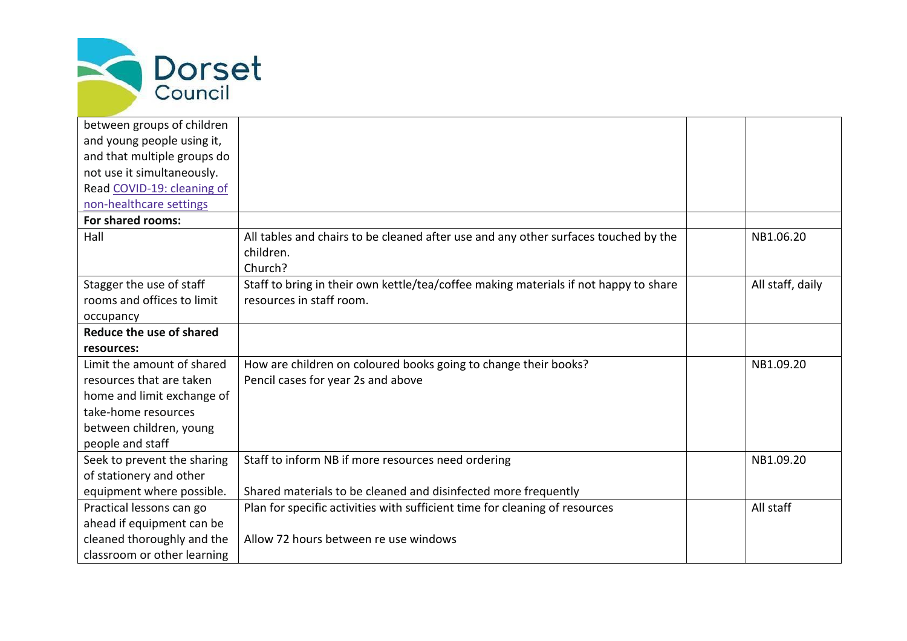

| between groups of children  |                                                                                      |                  |
|-----------------------------|--------------------------------------------------------------------------------------|------------------|
| and young people using it,  |                                                                                      |                  |
| and that multiple groups do |                                                                                      |                  |
| not use it simultaneously.  |                                                                                      |                  |
| Read COVID-19: cleaning of  |                                                                                      |                  |
| non-healthcare settings     |                                                                                      |                  |
| For shared rooms:           |                                                                                      |                  |
| Hall                        | All tables and chairs to be cleaned after use and any other surfaces touched by the  | NB1.06.20        |
|                             | children.                                                                            |                  |
|                             | Church?                                                                              |                  |
| Stagger the use of staff    | Staff to bring in their own kettle/tea/coffee making materials if not happy to share | All staff, daily |
| rooms and offices to limit  | resources in staff room.                                                             |                  |
| occupancy                   |                                                                                      |                  |
| Reduce the use of shared    |                                                                                      |                  |
| resources:                  |                                                                                      |                  |
| Limit the amount of shared  | How are children on coloured books going to change their books?                      | NB1.09.20        |
| resources that are taken    | Pencil cases for year 2s and above                                                   |                  |
| home and limit exchange of  |                                                                                      |                  |
| take-home resources         |                                                                                      |                  |
| between children, young     |                                                                                      |                  |
| people and staff            |                                                                                      |                  |
| Seek to prevent the sharing | Staff to inform NB if more resources need ordering                                   | NB1.09.20        |
| of stationery and other     |                                                                                      |                  |
| equipment where possible.   | Shared materials to be cleaned and disinfected more frequently                       |                  |
| Practical lessons can go    | Plan for specific activities with sufficient time for cleaning of resources          | All staff        |
| ahead if equipment can be   |                                                                                      |                  |
| cleaned thoroughly and the  | Allow 72 hours between re use windows                                                |                  |
| classroom or other learning |                                                                                      |                  |